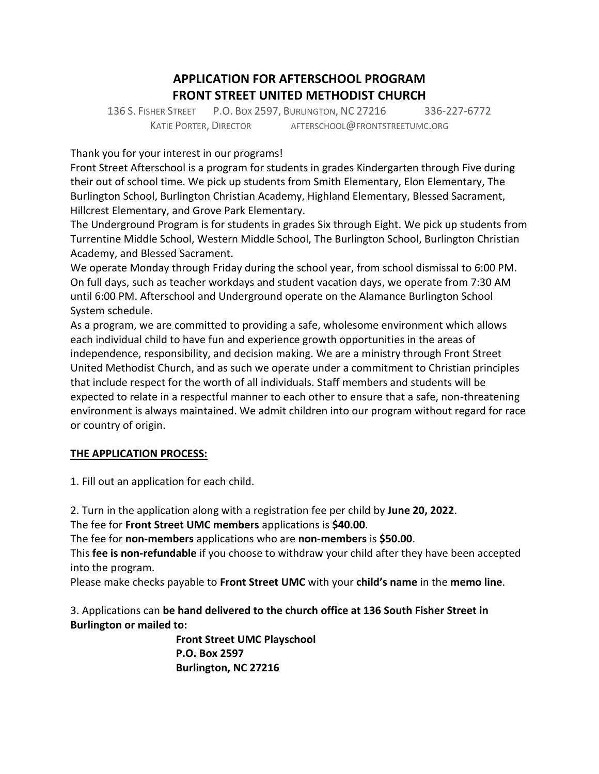# **APPLICATION FOR AFTERSCHOOL PROGRAM FRONT STREET UNITED METHODIST CHURCH**

136 S. FISHER STREET P.O. BOX 2597, BURLINGTON, NC 27216 336-227-6772 KATIE PORTER, DIRECTOR AFTERSCHOOL@FRONTSTREETUMC.ORG

Thank you for your interest in our programs!

Front Street Afterschool is a program for students in grades Kindergarten through Five during their out of school time. We pick up students from Smith Elementary, Elon Elementary, The Burlington School, Burlington Christian Academy, Highland Elementary, Blessed Sacrament, Hillcrest Elementary, and Grove Park Elementary.

The Underground Program is for students in grades Six through Eight. We pick up students from Turrentine Middle School, Western Middle School, The Burlington School, Burlington Christian Academy, and Blessed Sacrament.

We operate Monday through Friday during the school year, from school dismissal to 6:00 PM. On full days, such as teacher workdays and student vacation days, we operate from 7:30 AM until 6:00 PM. Afterschool and Underground operate on the Alamance Burlington School System schedule.

As a program, we are committed to providing a safe, wholesome environment which allows each individual child to have fun and experience growth opportunities in the areas of independence, responsibility, and decision making. We are a ministry through Front Street United Methodist Church, and as such we operate under a commitment to Christian principles that include respect for the worth of all individuals. Staff members and students will be expected to relate in a respectful manner to each other to ensure that a safe, non-threatening environment is always maintained. We admit children into our program without regard for race or country of origin.

### **THE APPLICATION PROCESS:**

1. Fill out an application for each child.

2. Turn in the application along with a registration fee per child by **June 20, 2022**.

The fee for **Front Street UMC members** applications is **\$40.00**.

The fee for **non-members** applications who are **non-members** is **\$50.00**.

This **fee is non-refundable** if you choose to withdraw your child after they have been accepted into the program.

Please make checks payable to **Front Street UMC** with your **child's name** in the **memo line**.

3. Applications can **be hand delivered to the church office at 136 South Fisher Street in Burlington or mailed to:**

> **Front Street UMC Playschool P.O. Box 2597 Burlington, NC 27216**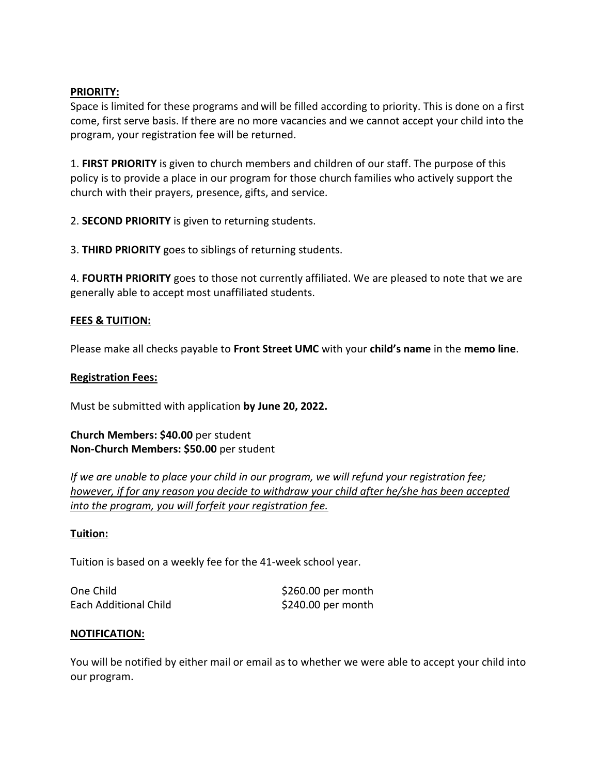#### **PRIORITY:**

Space is limited for these programs and will be filled according to priority. This is done on a first come, first serve basis. If there are no more vacancies and we cannot accept your child into the program, your registration fee will be returned.

1. **FIRST PRIORITY** is given to church members and children of our staff. The purpose of this policy is to provide a place in our program for those church families who actively support the church with their prayers, presence, gifts, and service.

2. **SECOND PRIORITY** is given to returning students.

3. **THIRD PRIORITY** goes to siblings of returning students.

4. **FOURTH PRIORITY** goes to those not currently affiliated. We are pleased to note that we are generally able to accept most unaffiliated students.

### **FEES & TUITION:**

Please make all checks payable to **Front Street UMC** with your **child's name** in the **memo line**.

#### **Registration Fees:**

Must be submitted with application **by June 20, 2022.**

### **Church Members: \$40.00** per student **Non-Church Members: \$50.00** per student

*If we are unable to place your child in our program, we will refund your registration fee; however, if for any reason you decide to withdraw your child after he/she has been accepted into the program, you will forfeit your registration fee.*

#### **Tuition:**

Tuition is based on a weekly fee for the 41-week school year.

| One Child             | $$260.00$ per month |  |
|-----------------------|---------------------|--|
| Each Additional Child | $$240.00$ per month |  |

#### **NOTIFICATION:**

You will be notified by either mail or email as to whether we were able to accept your child into our program.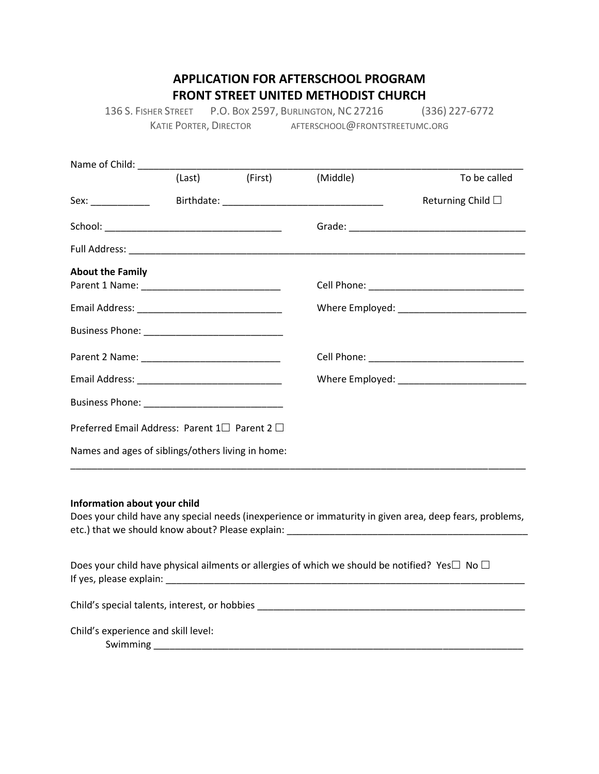# **APPLICATION FOR AFTERSCHOOL PROGRAM FRONT STREET UNITED METHODIST CHURCH**

136 S. FISHER STREET P.O. BOX 2597, BURLINGTON, NC 27216 (336) 227-6772 KATIE PORTER, DIRECTOR AFTERSCHOOL@FRONTSTREETUMC.ORG

|                                                   | (Last) (First) | (Middle) | To be called              |
|---------------------------------------------------|----------------|----------|---------------------------|
| Sex: _______________                              |                |          | Returning Child $\square$ |
|                                                   |                |          |                           |
|                                                   |                |          |                           |
| <b>About the Family</b>                           |                |          |                           |
|                                                   |                |          |                           |
|                                                   |                |          |                           |
|                                                   |                |          |                           |
|                                                   |                |          |                           |
|                                                   |                |          |                           |
|                                                   |                |          |                           |
| Preferred Email Address: Parent 1□ Parent 2 □     |                |          |                           |
| Names and ages of siblings/others living in home: |                |          |                           |

#### **Information about your child**

Does your child have any special needs (inexperience or immaturity in given area, deep fears, problems, etc.) that we should know about? Please explain: \_\_\_\_\_\_\_\_\_\_\_\_\_\_\_\_\_\_\_\_\_\_\_\_\_\_\_\_\_\_\_\_\_\_\_\_\_\_\_\_\_\_\_\_\_

Does your child have physical ailments or allergies of which we should be notified? Yes  $\Box$  No  $\Box$ If yes, please explain: \_\_\_\_\_\_\_\_\_\_\_\_\_\_\_\_\_\_\_\_\_\_\_\_\_\_\_\_\_\_\_\_\_\_\_\_\_\_\_\_\_\_\_\_\_\_\_\_\_\_\_\_\_\_\_\_\_\_\_\_\_\_\_\_\_\_\_

Child's special talents, interest, or hobbies \_\_\_\_\_\_\_\_\_\_\_\_\_\_\_\_\_\_\_\_\_\_\_\_\_\_\_\_\_\_\_\_\_\_\_\_\_\_\_\_\_\_\_\_\_\_\_\_\_\_

Child's experience and skill level:

Swimming \_\_\_\_\_\_\_\_\_\_\_\_\_\_\_\_\_\_\_\_\_\_\_\_\_\_\_\_\_\_\_\_\_\_\_\_\_\_\_\_\_\_\_\_\_\_\_\_\_\_\_\_\_\_\_\_\_\_\_\_\_\_\_\_\_\_\_\_\_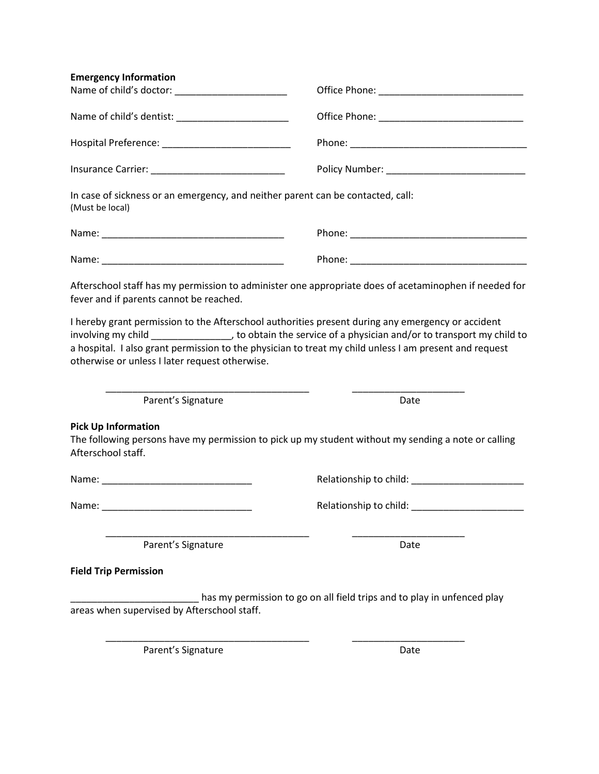| <b>Emergency Information</b>                                                                                    |                                                                                                                                                                                                                                                                                                                                                                                                                                             |  |  |
|-----------------------------------------------------------------------------------------------------------------|---------------------------------------------------------------------------------------------------------------------------------------------------------------------------------------------------------------------------------------------------------------------------------------------------------------------------------------------------------------------------------------------------------------------------------------------|--|--|
|                                                                                                                 |                                                                                                                                                                                                                                                                                                                                                                                                                                             |  |  |
|                                                                                                                 |                                                                                                                                                                                                                                                                                                                                                                                                                                             |  |  |
|                                                                                                                 |                                                                                                                                                                                                                                                                                                                                                                                                                                             |  |  |
|                                                                                                                 |                                                                                                                                                                                                                                                                                                                                                                                                                                             |  |  |
| In case of sickness or an emergency, and neither parent can be contacted, call:<br>(Must be local)              |                                                                                                                                                                                                                                                                                                                                                                                                                                             |  |  |
|                                                                                                                 |                                                                                                                                                                                                                                                                                                                                                                                                                                             |  |  |
|                                                                                                                 |                                                                                                                                                                                                                                                                                                                                                                                                                                             |  |  |
| fever and if parents cannot be reached.<br>otherwise or unless I later request otherwise.<br>Parent's Signature | Afterschool staff has my permission to administer one appropriate does of acetaminophen if needed for<br>I hereby grant permission to the Afterschool authorities present during any emergency or accident<br>involving my child __________________, to obtain the service of a physician and/or to transport my child to<br>a hospital. I also grant permission to the physician to treat my child unless I am present and request<br>Date |  |  |
| <b>Pick Up Information</b><br>Afterschool staff.                                                                | The following persons have my permission to pick up my student without my sending a note or calling                                                                                                                                                                                                                                                                                                                                         |  |  |
|                                                                                                                 |                                                                                                                                                                                                                                                                                                                                                                                                                                             |  |  |
| Name:                                                                                                           | Relationship to child: _________________________                                                                                                                                                                                                                                                                                                                                                                                            |  |  |
| Parent's Signature                                                                                              | Date                                                                                                                                                                                                                                                                                                                                                                                                                                        |  |  |
| <b>Field Trip Permission</b>                                                                                    |                                                                                                                                                                                                                                                                                                                                                                                                                                             |  |  |
|                                                                                                                 | has my permission to go on all field trips and to play in unfenced play                                                                                                                                                                                                                                                                                                                                                                     |  |  |
| areas when supervised by Afterschool staff.                                                                     |                                                                                                                                                                                                                                                                                                                                                                                                                                             |  |  |

\_\_\_\_\_\_\_\_\_\_\_\_\_\_\_\_\_\_\_\_\_\_\_\_\_\_\_\_\_\_\_\_\_\_\_\_\_\_ \_\_\_\_\_\_\_\_\_\_\_\_\_\_\_\_\_\_\_\_\_

Parent's Signature Date Date